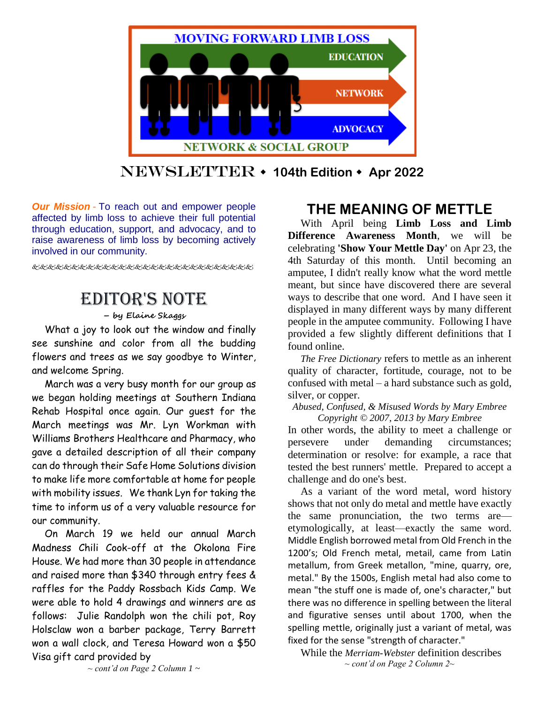

Newsletter **104th Edition Apr 2022**

*Our Mission* - To reach out and empower people affected by limb loss to achieve their full potential through education, support, and advocacy, and to raise awareness of limb loss by becoming actively involved in our community.

# Editor's Note

**– by Elaine Skaggs**

What a joy to look out the window and finally see sunshine and color from all the budding flowers and trees as we say goodbye to Winter, and welcome Spring.

March was a very busy month for our group as we began holding meetings at Southern Indiana Rehab Hospital once again. Our guest for the March meetings was Mr. Lyn Workman with Williams Brothers Healthcare and Pharmacy, who gave a detailed description of all their company can do through their Safe Home Solutions division to make life more comfortable at home for people with mobility issues. We thank Lyn for taking the time to inform us of a very valuable resource for our community.

On March 19 we held our annual March Madness Chili Cook-off at the Okolona Fire House. We had more than 30 people in attendance and raised more than \$340 through entry fees & raffles for the Paddy Rossbach Kids Camp. We were able to hold 4 drawings and winners are as follows: Julie Randolph won the chili pot, Roy Holsclaw won a barber package, Terry Barrett won a wall clock, and Teresa Howard won a \$50 Visa gift card provided by

## **THE MEANING OF METTLE**

With April being **Limb Loss and Limb Difference Awareness Month**, we will be celebrating **'Show Your Mettle Day'** on Apr 23, the 4th Saturday of this month. Until becoming an amputee, I didn't really know what the word mettle meant, but since have discovered there are several ways to describe that one word. And I have seen it displayed in many different ways by many different people in the amputee community. Following I have provided a few slightly different definitions that I found online.

*The Free Dictionary* refers to mettle as an inherent quality of character, fortitude, courage, not to be confused with metal – a hard substance such as gold, silver, or copper.

#### *Abused, Confused, & Misused Words by Mary Embree Copyright © 2007, 2013 by Mary Embree*

In other words, the ability to meet a challenge or persevere under demanding circumstances; determination or resolve: for example, a race that tested the best runners' mettle. Prepared to accept a challenge and do one's best.

As a variant of the word metal, word history shows that not only do metal and mettle have exactly the same pronunciation, the two terms are etymologically, at least—exactly the same word. Middle English borrowed metal from Old French in the 1200's; Old French metal, metail, came from Latin metallum, from Greek metallon, "mine, quarry, ore, metal." By the 1500s, English metal had also come to mean "the stuff one is made of, one's character," but there was no difference in spelling between the literal and figurative senses until about 1700, when the spelling mettle, originally just a variant of metal, was fixed for the sense "strength of character."

While the *Merriam-Webster* definition describes *~ cont'd on Page 2 Column 2~*

*~ cont'd on Page 2 Column 1 ~*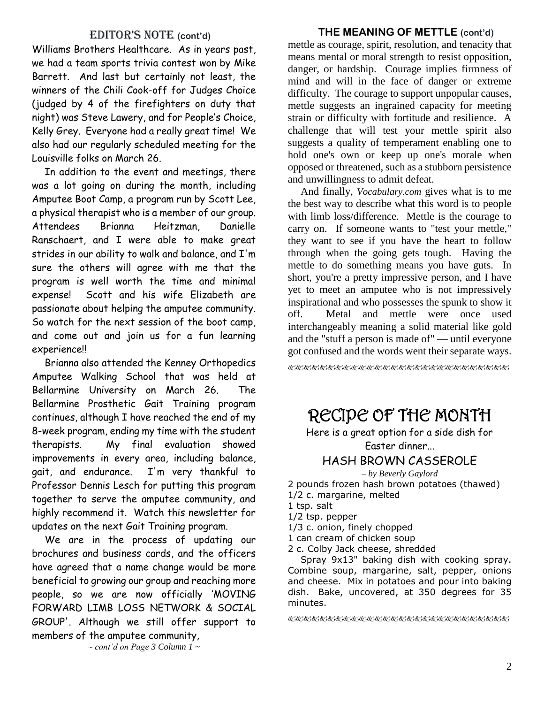#### EDITOR'S NOTE (cont'd)

Williams Brothers Healthcare. As in years past, we had a team sports trivia contest won by Mike Barrett. And last but certainly not least, the winners of the Chili Cook-off for Judges Choice (judged by 4 of the firefighters on duty that night) was Steve Lawery, and for People's Choice, Kelly Grey. Everyone had a really great time! We also had our regularly scheduled meeting for the Louisville folks on March 26.

In addition to the event and meetings, there was a lot going on during the month, including Amputee Boot Camp, a program run by Scott Lee, a physical therapist who is a member of our group. Attendees Brianna Heitzman, Danielle Ranschaert, and I were able to make great strides in our ability to walk and balance, and I'm sure the others will agree with me that the program is well worth the time and minimal expense! Scott and his wife Elizabeth are passionate about helping the amputee community. So watch for the next session of the boot camp, and come out and join us for a fun learning experience!!

Brianna also attended the Kenney Orthopedics Amputee Walking School that was held at Bellarmine University on March 26. The Bellarmine Prosthetic Gait Training program continues, although I have reached the end of my 8-week program, ending my time with the student therapists. My final evaluation showed improvements in every area, including balance, gait, and endurance. I'm very thankful to Professor Dennis Lesch for putting this program together to serve the amputee community, and highly recommend it. Watch this newsletter for updates on the next Gait Training program.

We are in the process of updating our brochures and business cards, and the officers have agreed that a name change would be more beneficial to growing our group and reaching more people, so we are now officially 'MOVING FORWARD LIMB LOSS NETWORK & SOCIAL GROUP'. Although we still offer support to members of the amputee community,

**THE MEANING OF METTLE (cont'd)** mettle as courage, spirit, resolution, and tenacity that means mental or moral strength to resist opposition, danger, or hardship. Courage implies firmness of mind and will in the face of danger or extreme difficulty. The courage to support unpopular causes, mettle suggests an ingrained capacity for meeting strain or difficulty with fortitude and resilience. A challenge that will test your mettle spirit also suggests a quality of temperament enabling one to hold one's own or keep up one's morale when opposed or threatened, such as a stubborn persistence and unwillingness to admit defeat.

And finally, *Vocabulary.com* gives what is to me the best way to describe what this word is to people with limb loss/difference. Mettle is the courage to carry on. If someone wants to "test your mettle," they want to see if you have the heart to follow through when the going gets tough. Having the mettle to do something means you have guts. In short, you're a pretty impressive person, and I have yet to meet an amputee who is not impressively inspirational and who possesses the spunk to show it off. Metal and mettle were once used interchangeably meaning a solid material like gold and the "stuff a person is made of" — until everyone got confused and the words went their separate ways.

RECIPE OF THE MONTH

Here is a great option for a side dish for Easter dinner...

### HASH BROWN CASSEROLE

*– by Beverly Gaylord*

2 pounds frozen hash brown potatoes (thawed) 1/2 c. margarine, melted

1 tsp. salt

1/2 tsp. pepper

1/3 c. onion, finely chopped

1 can cream of chicken soup

2 c. Colby Jack cheese, shredded

Spray 9x13" baking dish with cooking spray. Combine soup, margarine, salt, pepper, onions and cheese. Mix in potatoes and pour into baking dish. Bake, uncovered, at 350 degrees for 35 minutes.

好好的名词名名名名名名名名名名名名名名名名名名名名名名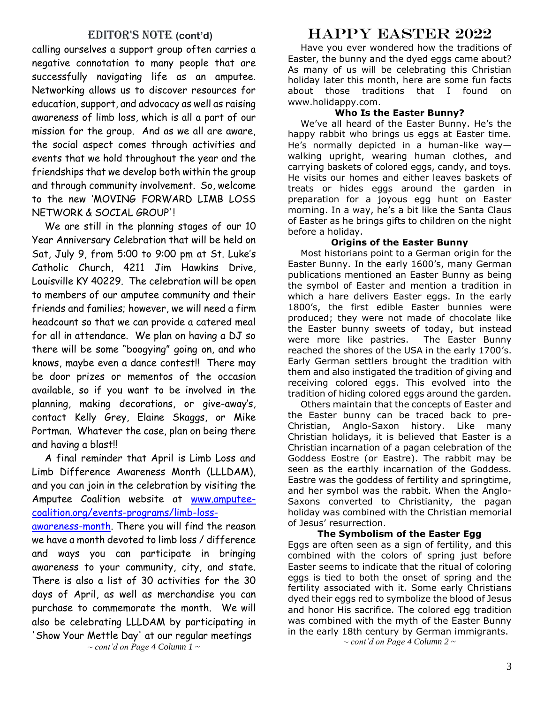### Editor's Note **(cont'd)**

calling ourselves a support group often carries a negative connotation to many people that are successfully navigating life as an amputee. Networking allows us to discover resources for education, support, and advocacy as well as raising awareness of limb loss, which is all a part of our mission for the group. And as we all are aware, the social aspect comes through activities and events that we hold throughout the year and the friendships that we develop both within the group and through community involvement. So, welcome to the new 'MOVING FORWARD LIMB LOSS NETWORK & SOCIAL GROUP'!

We are still in the planning stages of our 10 Year Anniversary Celebration that will be held on Sat, July 9, from 5:00 to 9:00 pm at St. Luke's Catholic Church, 4211 Jim Hawkins Drive, Louisville KY 40229. The celebration will be open to members of our amputee community and their friends and families; however, we will need a firm headcount so that we can provide a catered meal for all in attendance. We plan on having a DJ so there will be some "boogying" going on, and who knows, maybe even a dance contest!! There may be door prizes or mementos of the occasion available, so if you want to be involved in the planning, making decorations, or give-away's, contact Kelly Grey, Elaine Skaggs, or Mike Portman. Whatever the case, plan on being there and having a blast!!

A final reminder that April is Limb Loss and Limb Difference Awareness Month (LLLDAM), and you can join in the celebration by visiting the Amputee Coalition website at [www.amputee](http://www.amputee-coalition.org/events-programs/limb-loss-awareness-month)[coalition.org/events-programs/limb-loss-](http://www.amputee-coalition.org/events-programs/limb-loss-awareness-month)

[awareness-month.](http://www.amputee-coalition.org/events-programs/limb-loss-awareness-month) There you will find the reason we have a month devoted to limb loss / difference and ways you can participate in bringing awareness to your community, city, and state. There is also a list of 30 activities for the 30 days of April, as well as merchandise you can purchase to commemorate the month. We will also be celebrating LLLDAM by participating in 'Show Your Mettle Day' at our regular meetings

*~ cont'd on Page 4 Column 1 ~*

## HAPPY EASTER 2022

Have you ever wondered how the traditions of Easter, the bunny and the dyed eggs came about? As many of us will be celebrating this Christian holiday later this month, here are some fun facts about those traditions that I found on [www.holidappy.com.](www.holidappy.com)

#### **Who Is the Easter Bunny?**

We've all heard of the Easter Bunny. He's the happy rabbit who brings us eggs at Easter time. He's normally depicted in a human-like way walking upright, wearing human clothes, and carrying baskets of colored eggs, candy, and toys. He visits our homes and either leaves baskets of treats or hides eggs around the garden in preparation for a joyous egg hunt on Easter morning. In a way, he's a bit like the Santa Claus of Easter as he brings gifts to children on the night before a holiday.

#### **Origins of the Easter Bunny**

Most historians point to a German origin for the Easter Bunny. In the early 1600's, many German publications mentioned an Easter Bunny as being the symbol of Easter and mention a tradition in which a hare delivers Easter eggs. In the early 1800's, the first edible Easter bunnies were produced; they were not made of chocolate like the Easter bunny sweets of today, but instead were more like pastries. The Easter Bunny reached the shores of the USA in the early 1700's. Early German settlers brought the tradition with them and also instigated the tradition of giving and receiving colored eggs. This evolved into the tradition of hiding colored eggs around the garden.

Others maintain that the concepts of Easter and the Easter bunny can be traced back to pre-Christian, Anglo-Saxon history. Like many Christian holidays, it is believed that Easter is a Christian incarnation of a pagan celebration of the Goddess Eostre (or Eastre). The rabbit may be seen as the earthly incarnation of the Goddess. Eastre was the goddess of fertility and springtime, and her symbol was the rabbit. When the Anglo-Saxons converted to Christianity, the pagan holiday was combined with the Christian memorial of Jesus' resurrection.

#### **The Symbolism of the Easter Egg**

Eggs are often seen as a sign of fertility, and this combined with the colors of spring just before Easter seems to indicate that the ritual of coloring eggs is tied to both the onset of spring and the fertility associated with it. Some early Christians dyed their eggs red to symbolize the blood of Jesus and honor His sacrifice. The colored egg tradition was combined with the myth of the Easter Bunny in the early 18th century by German immigrants. *~ cont'd on Page 4 Column 2 ~*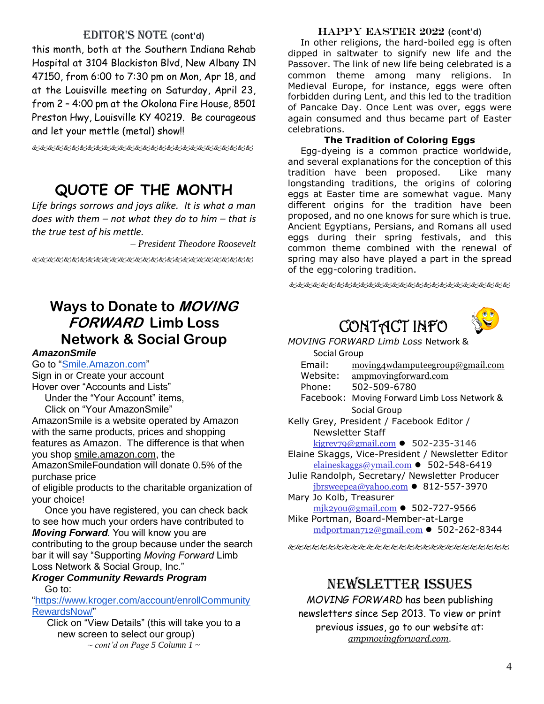### EDITOR'S NOTE (cont'd)

this month, both at the Southern Indiana Rehab Hospital at 3104 Blackiston Blvd, New Albany IN 47150, from 6:00 to 7:30 pm on Mon, Apr 18, and at the Louisville meeting on Saturday, April 23, from 2 – 4:00 pm at the Okolona Fire House, 8501 Preston Hwy, Louisville KY 40219. Be courageous and let your mettle (metal) show!!

使发电电电电电电电电电电电电电电电电电电电电电

## **QUOTE OF THE MONTH**

*Life brings sorrows and joys alike. It is what a man does with them – not what they do to him – that is the true test of his mettle.*

*– President Theodore Roosevelt*

## **Ways to Donate to MOVING FORWARD Limb Loss Network & Social Group**

#### *AmazonSmile*

Go to ["Smile.Amazon.com"](https://smile.amazon.com/ap/signin?_encoding=UTF8&openid.assoc_handle=amzn_smile_mobile&openid.claimed_id=http%3A%2F%2Fspecs.openid.net%2Fauth%2F2.0%2Fidentifier_select&openid.identity=http%3A%2F%2Fspecs.openid.net%2Fauth%2F2.0%2Fidentifier_select&openid.mode=checkid_setup&openid.ns=http%3A%2F%2Fspecs.openid.net%2Fauth%2F2.0&openid.ns.pape=http%3A%2F%2Fspecs.openid.net%2Fextensions%2Fpape%2F1.0&openid.pape.max_auth_age=0&openid.return_to=https%3A%2F%2Fsmile.amazon.com%2Fgp%2Faw%2Fch%2Fhomepage) Sign in or Create your account

Hover over "Accounts and Lists"

Under the "Your Account" items, Click on "Your AmazonSmile"

AmazonSmile is a website operated by Amazon with the same products, prices and shopping features as Amazon. The difference is that when you shop smile.amazon.com, the

AmazonSmileFoundation will donate 0.5% of the purchase price

of eligible products to the charitable organization of your choice!

Once you have registered, you can check back to see how much your orders have contributed to *Moving Forward*. You will know you are contributing to the group because under the search bar it will say "Supporting *Moving Forward* Limb Loss Network & Social Group, Inc."

#### *Kroger Community Rewards Program* Go to:

["https://www.kroger.com/account/enrollCommunity](https://www.kroger.com/account/enrollCommunityRewardsNow/) [RewardsNow/"](https://www.kroger.com/account/enrollCommunityRewardsNow/)

Click on "View Details" (this will take you to a new screen to select our group) *~ cont'd on Page 5 Column 1 ~*

### HAPPY EASTER 2022 **(cont'd)**

In other religions, the hard-boiled egg is often dipped in saltwater to signify new life and the Passover. The link of new life being celebrated is a common theme among many religions. In Medieval Europe, for instance, eggs were often forbidden during Lent, and this led to the tradition of Pancake Day. Once Lent was over, eggs were again consumed and thus became part of Easter celebrations.

### **The Tradition of Coloring Eggs**

Egg-dyeing is a common practice worldwide, and several explanations for the conception of this tradition have been proposed. Like many longstanding traditions, the origins of coloring eggs at Easter time are somewhat vague. Many different origins for the tradition have been proposed, and no one knows for sure which is true. Ancient Egyptians, Persians, and Romans all used eggs during their spring festivals, and this common theme combined with the renewal of spring may also have played a part in the spread of the egg-coloring tradition.

长&はとんどんどんどんどんどんどんどんどんどんどんどん

CONTACT INFO



*MOVING FORWARD Limb Loss* Network &

Social Group

| Email: | moving4wdamputeegroup@gmail.com |
|--------|---------------------------------|
|        |                                 |

Website: ampmovingforward.com

- Phone: 502-509-6780
- Facebook: Moving Forward Limb Loss Network & Social Group
- Kelly Grey, President / Facebook Editor / Newsletter Staff

[kjgrey79@gmail.com](mailto:kjgrey79@gmail.com) ⚫ 502-235-3146

- Elaine Skaggs, Vice-President / Newsletter Editor [elaineskaggs@ymail.com](mailto:elaineskaggs@ymail.com) ⚫ 502-548-6419
- Julie Randolph, Secretary/ Newsletter Producer  $jbrsweepea@yahoo.com$  • 812-557-3970
- Mary Jo Kolb, Treasurer [mjk2you@gmail.com](mailto:mjk2you@gmail.com) ⚫ 502-727-9566 Mike Portman, Board-Member-at-Large

[mdportman712@gmail.com](mailto:mdportman712@gmail.com) ⚫ 502-262-8344

kkkkkkkkkkkkkkkkkkkkkkkkkkkkkkk

## NEWSLETTER ISSUES

*MOVING FORWARD* has been publishing newsletters since Sep 2013. To view or print previous issues, go to our website at: *ampmovingforward.com.*